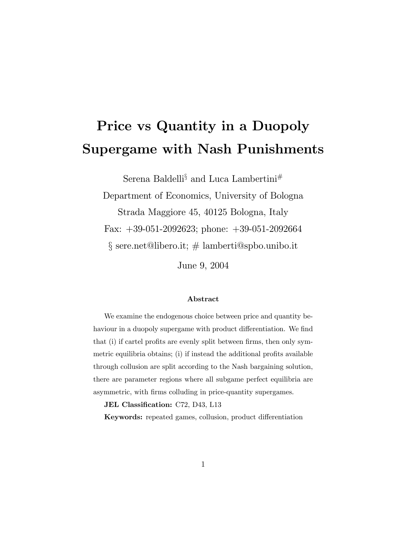# Price vs Quantity in a Duopoly Supergame with Nash Punishments

Serena Baldelli§ and Luca Lambertini#

Department of Economics, University of Bologna Strada Maggiore 45, 40125 Bologna, Italy Fax: +39-051-2092623; phone: +39-051-2092664  $\S$  sere.net@libero.it;  $\#$  lamberti@spbo.unibo.it

June 9, 2004

#### Abstract

We examine the endogenous choice between price and quantity behaviour in a duopoly supergame with product differentiation. We find that (i) if cartel profits are evenly split between firms, then only symmetric equilibria obtains; (i) if instead the additional profits available through collusion are split according to the Nash bargaining solution, there are parameter regions where all subgame perfect equilibria are asymmetric, with firms colluding in price-quantity supergames.

JEL Classification: C72, D43, L13

Keywords: repeated games, collusion, product differentiation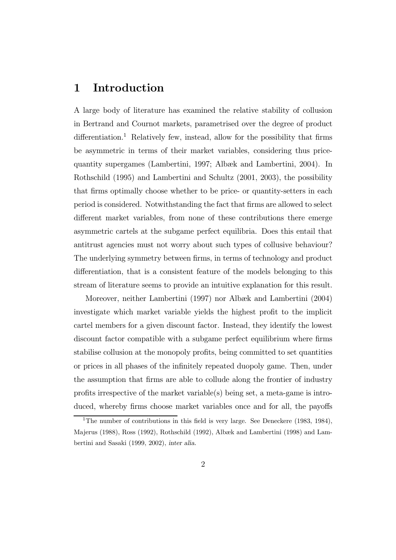## 1 Introduction

A large body of literature has examined the relative stability of collusion in Bertrand and Cournot markets, parametrised over the degree of product  $differential$  Relatively few, instead, allow for the possibility that firms be asymmetric in terms of their market variables, considering thus pricequantity supergames (Lambertini, 1997; Albæk and Lambertini, 2004). In Rothschild (1995) and Lambertini and Schultz (2001, 2003), the possibility that firms optimally choose whether to be price- or quantity-setters in each period is considered. Notwithstanding the fact that firms are allowed to select different market variables, from none of these contributions there emerge asymmetric cartels at the subgame perfect equilibria. Does this entail that antitrust agencies must not worry about such types of collusive behaviour? The underlying symmetry between firms, in terms of technology and product differentiation, that is a consistent feature of the models belonging to this stream of literature seems to provide an intuitive explanation for this result.

Moreover, neither Lambertini (1997) nor Albæk and Lambertini (2004) investigate which market variable yields the highest profit to the implicit cartel members for a given discount factor. Instead, they identify the lowest discount factor compatible with a subgame perfect equilibrium where firms stabilise collusion at the monopoly profits, being committed to set quantities or prices in all phases of the infinitely repeated duopoly game. Then, under the assumption that firms are able to collude along the frontier of industry profits irrespective of the market variable(s) being set, a meta-game is introduced, whereby firms choose market variables once and for all, the payoffs

<sup>&</sup>lt;sup>1</sup>The number of contributions in this field is very large. See Deneckere (1983, 1984), Majerus (1988), Ross (1992), Rothschild (1992), Albæk and Lambertini (1998) and Lambertini and Sasaki (1999, 2002), inter alia.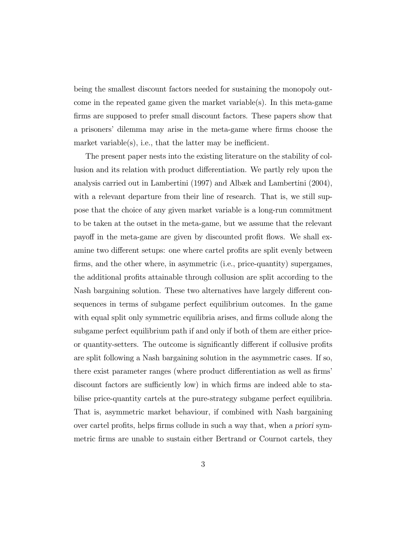being the smallest discount factors needed for sustaining the monopoly outcome in the repeated game given the market variable(s). In this meta-game firms are supposed to prefer small discount factors. These papers show that a prisoners' dilemma may arise in the meta-game where firms choose the market variable $(s)$ , i.e., that the latter may be inefficient.

The present paper nests into the existing literature on the stability of collusion and its relation with product differentiation. We partly rely upon the analysis carried out in Lambertini (1997) and Albæk and Lambertini (2004), with a relevant departure from their line of research. That is, we still suppose that the choice of any given market variable is a long-run commitment to be taken at the outset in the meta-game, but we assume that the relevant payoff in the meta-game are given by discounted profit flows. We shall examine two different setups: one where cartel profits are split evenly between firms, and the other where, in asymmetric (i.e., price-quantity) supergames, the additional profits attainable through collusion are split according to the Nash bargaining solution. These two alternatives have largely different consequences in terms of subgame perfect equilibrium outcomes. In the game with equal split only symmetric equilibria arises, and firms collude along the subgame perfect equilibrium path if and only if both of them are either priceor quantity-setters. The outcome is significantly different if collusive profits are split following a Nash bargaining solution in the asymmetric cases. If so, there exist parameter ranges (where product differentiation as well as firms' discount factors are sufficiently low) in which firms are indeed able to stabilise price-quantity cartels at the pure-strategy subgame perfect equilibria. That is, asymmetric market behaviour, if combined with Nash bargaining over cartel profits, helps firms collude in such a way that, when a priori symmetric firms are unable to sustain either Bertrand or Cournot cartels, they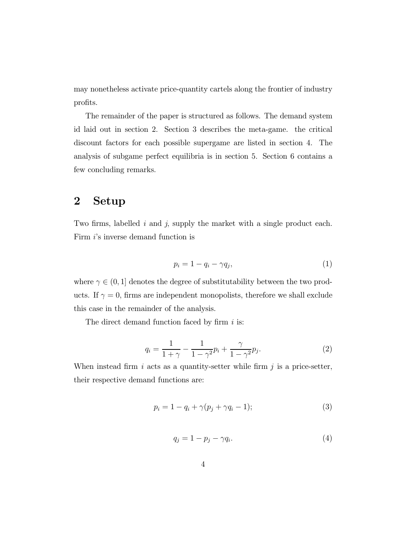may nonetheless activate price-quantity cartels along the frontier of industry profits.

The remainder of the paper is structured as follows. The demand system id laid out in section 2. Section 3 describes the meta-game. the critical discount factors for each possible supergame are listed in section 4. The analysis of subgame perfect equilibria is in section 5. Section 6 contains a few concluding remarks.

# 2 Setup

Two firms, labelled  $i$  and  $j$ , supply the market with a single product each. Firm *i*'s inverse demand function is

$$
p_i = 1 - q_i - \gamma q_j,\tag{1}
$$

where  $\gamma \in (0, 1]$  denotes the degree of substitutability between the two products. If  $\gamma = 0$ , firms are independent monopolists, therefore we shall exclude this case in the remainder of the analysis.

The direct demand function faced by firm  $i$  is:

$$
q_i = \frac{1}{1+\gamma} - \frac{1}{1-\gamma^2}p_i + \frac{\gamma}{1-\gamma^2}p_j.
$$
 (2)

When instead firm  $i$  acts as a quantity-setter while firm  $j$  is a price-setter, their respective demand functions are:

$$
p_i = 1 - q_i + \gamma(p_j + \gamma q_i - 1); \tag{3}
$$

$$
q_j = 1 - p_j - \gamma q_i. \tag{4}
$$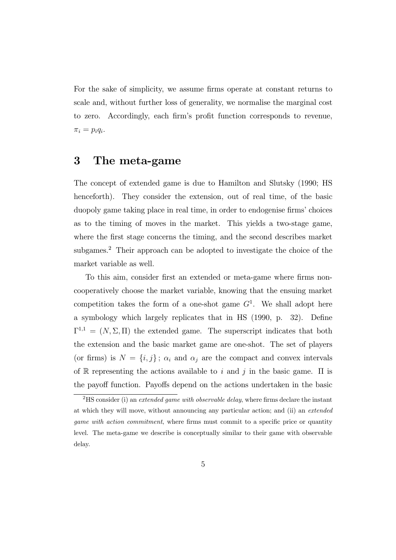For the sake of simplicity, we assume firms operate at constant returns to scale and, without further loss of generality, we normalise the marginal cost to zero. Accordingly, each firm's profit function corresponds to revenue,  $\pi_i = p_i q_i.$ 

## 3 The meta-game

The concept of extended game is due to Hamilton and Slutsky (1990; HS henceforth). They consider the extension, out of real time, of the basic duopoly game taking place in real time, in order to endogenise firms' choices as to the timing of moves in the market. This yields a two-stage game, where the first stage concerns the timing, and the second describes market subgames.<sup>2</sup> Their approach can be adopted to investigate the choice of the market variable as well.

To this aim, consider first an extended or meta-game where firms noncooperatively choose the market variable, knowing that the ensuing market competition takes the form of a one-shot game  $G<sup>1</sup>$ . We shall adopt here a symbology which largely replicates that in HS (1990, p. 32). Define  $\Gamma^{1,1} = (N, \Sigma, \Pi)$  the extended game. The superscript indicates that both the extension and the basic market game are one-shot. The set of players (or firms) is  $N = \{i, j\}$ ;  $\alpha_i$  and  $\alpha_j$  are the compact and convex intervals of R representing the actions available to i and j in the basic game.  $\Pi$  is the payoff function. Payoffs depend on the actions undertaken in the basic

<sup>&</sup>lt;sup>2</sup>HS consider (i) an *extended game with observable delay*, where firms declare the instant at which they will move, without announcing any particular action; and (ii) an extended game with action commitment, where firms must commit to a specific price or quantity level. The meta-game we describe is conceptually similar to their game with observable delay.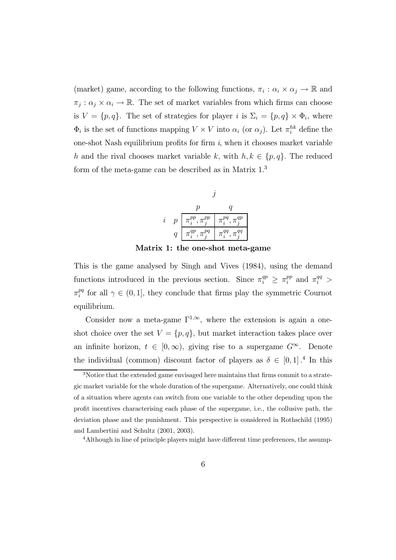(market) game, according to the following functions,  $\pi_i : \alpha_i \times \alpha_j \to \mathbb{R}$  and  $\pi_j : \alpha_j \times \alpha_i \to \mathbb{R}$ . The set of market variables from which firms can choose is  $V = \{p, q\}$ . The set of strategies for player i is  $\Sigma_i = \{p, q\} \times \Phi_i$ , where  $\Phi_i$  is the set of functions mapping  $V \times V$  into  $\alpha_i$  (or  $\alpha_j$ ). Let  $\pi_i^{hk}$  define the one-shot Nash equilibrium profits for firm  $i$ , when it chooses market variable h and the rival chooses market variable k, with  $h, k \in \{p, q\}$ . The reduced form of the meta-game can be described as in Matrix 1.<sup>3</sup>



Matrix 1: the one-shot meta-game

This is the game analysed by Singh and Vives (1984), using the demand functions introduced in the previous section. Since  $\pi_i^{qp} \geq \pi_i^{pp}$  and  $\pi_i^{qq} >$  $\pi_i^{pq}$  for all  $\gamma \in (0,1]$ , they conclude that firms play the symmetric Cournot equilibrium.

Consider now a meta-game  $\Gamma^{1,\infty}$ , where the extension is again a oneshot choice over the set  $V = \{p, q\}$ , but market interaction takes place over an infinite horizon,  $t \in [0, \infty)$ , giving rise to a supergame  $G^{\infty}$ . Denote the individual (common) discount factor of players as  $\delta \in [0,1]$ .<sup>4</sup> In this

<sup>3</sup>Notice that the extended game envisaged here maintains that firms commit to a strategic market variable for the whole duration of the supergame. Alternatively, one could think of a situation where agents can switch from one variable to the other depending upon the profit incentives characterising each phase of the supergame, i.e., the collusive path, the deviation phase and the punishment. This perspective is considered in Rothschild (1995) and Lambertini and Schultz (2001, 2003).

<sup>&</sup>lt;sup>4</sup>Although in line of principle players might have different time preferences, the assump-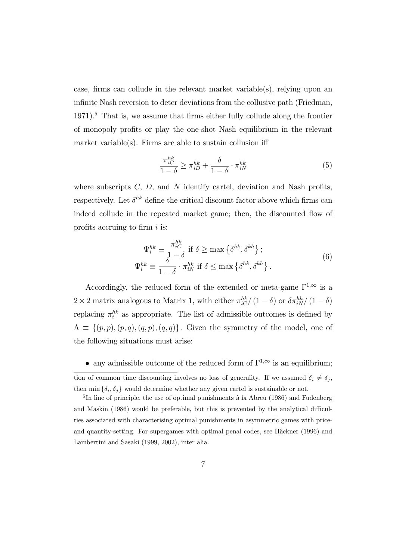case, firms can collude in the relevant market variable(s), relying upon an infinite Nash reversion to deter deviations from the collusive path (Friedman,  $1971$ <sup>5</sup>. That is, we assume that firms either fully collude along the frontier of monopoly profits or play the one-shot Nash equilibrium in the relevant market variable(s). Firms are able to sustain collusion iff

$$
\frac{\pi_{iC}^{hk}}{1-\delta} \ge \pi_{iD}^{hk} + \frac{\delta}{1-\delta} \cdot \pi_{iN}^{hk} \tag{5}
$$

where subscripts  $C, D$ , and  $N$  identify cartel, deviation and Nash profits, respectively. Let  $\delta^{hk}$  define the critical discount factor above which firms can indeed collude in the repeated market game; then, the discounted flow of profits accruing to firm  $i$  is:

$$
\Psi_i^{hk} \equiv \frac{\pi_{iC}^{hk}}{1 - \delta} \text{ if } \delta \ge \max \left\{ \delta^{hk}, \delta^{kh} \right\};
$$
\n
$$
\Psi_i^{hk} \equiv \frac{\delta}{1 - \delta} \cdot \pi_{iN}^{hk} \text{ if } \delta \le \max \left\{ \delta^{hk}, \delta^{kh} \right\}. \tag{6}
$$

Accordingly, the reduced form of the extended or meta-game  $\Gamma^{1,\infty}$  is a  $2 \times 2$  matrix analogous to Matrix 1, with either  $\pi_{iC}^{hk}/(1-\delta)$  or  $\delta \pi_{iN}^{hk}/(1-\delta)$ replacing  $\pi_i^{hk}$  as appropriate. The list of admissible outcomes is defined by  $\Lambda \equiv \{(p, p), (p, q), (q, p), (q, q)\}\.$  Given the symmetry of the model, one of the following situations must arise:

• any admissible outcome of the reduced form of  $\Gamma^{1,\infty}$  is an equilibrium;

tion of common time discounting involves no loss of generality. If we assumed  $\delta_i \neq \delta_j$ , then min  $\{\delta_i, \delta_j\}$  would determine whether any given cartel is sustainable or not.

 ${}^{5}$ In line of principle, the use of optimal punishments à la Abreu (1986) and Fudenberg and Maskin (1986) would be preferable, but this is prevented by the analytical difficulties associated with characterising optimal punishments in asymmetric games with priceand quantity-setting. For supergames with optimal penal codes, see Häckner (1996) and Lambertini and Sasaki (1999, 2002), inter alia.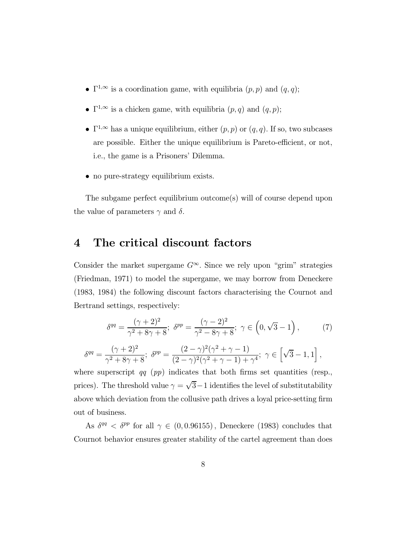- $\Gamma^{1,\infty}$  is a coordination game, with equilibria  $(p, p)$  and  $(q, q)$ ;
- $\Gamma^{1,\infty}$  is a chicken game, with equilibria  $(p, q)$  and  $(q, p)$ ;
- $\Gamma^{1,\infty}$  has a unique equilibrium, either  $(p, p)$  or  $(q, q)$ . If so, two subcases are possible. Either the unique equilibrium is Pareto-efficient, or not, i.e., the game is a Prisoners' Dilemma.
- no pure-strategy equilibrium exists.

The subgame perfect equilibrium outcome(s) will of course depend upon the value of parameters  $\gamma$  and  $\delta$ .

# 4 The critical discount factors

Consider the market supergame  $G^{\infty}$ . Since we rely upon "grim" strategies (Friedman, 1971) to model the supergame, we may borrow from Deneckere (1983, 1984) the following discount factors characterising the Cournot and Bertrand settings, respectively:

$$
\delta^{qq} = \frac{(\gamma + 2)^2}{\gamma^2 + 8\gamma + 8}; \ \delta^{pp} = \frac{(\gamma - 2)^2}{\gamma^2 - 8\gamma + 8}; \ \gamma \in (0, \sqrt{3} - 1), \tag{7}
$$

$$
\delta^{qq} = \frac{(\gamma + 2)^2}{\gamma^2 + 8\gamma + 8}; \ \delta^{pp} = \frac{(2 - \gamma)^2(\gamma^2 + \gamma - 1)}{(2 - \gamma)^2(\gamma^2 + \gamma - 1) + \gamma^4}; \ \gamma \in \left[\sqrt{3} - 1, 1\right],
$$

where superscript  $qq$  (pp) indicates that both firms set quantities (resp., prices). The threshold value  $\gamma = \sqrt{3}-1$  identifies the level of substitutability above which deviation from the collusive path drives a loyal price-setting firm out of business.

As  $\delta^{qq} < \delta^{pp}$  for all  $\gamma \in (0, 0.96155)$ , Deneckere (1983) concludes that Cournot behavior ensures greater stability of the cartel agreement than does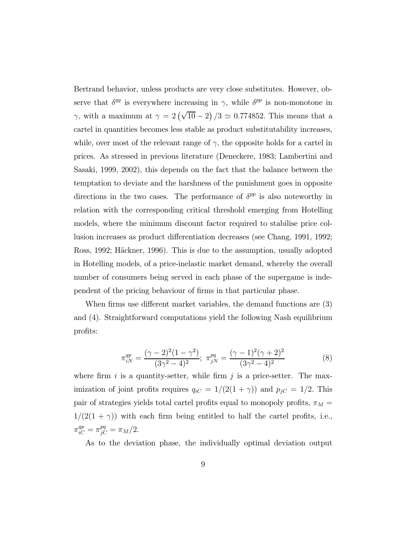Bertrand behavior, unless products are very close substitutes. However, observe that  $\delta^{qq}$  is everywhere increasing in  $\gamma$ , while  $\delta^{pp}$  is non-monotone in  $\gamma$ , with a maximum at  $\gamma = 2(\sqrt{10} - 2)/3 \simeq 0.774852$ . This means that a cartel in quantities becomes less stable as product substitutability increases, while, over most of the relevant range of  $\gamma$ , the opposite holds for a cartel in prices. As stressed in previous literature (Deneckere, 1983; Lambertini and Sasaki, 1999, 2002), this depends on the fact that the balance between the temptation to deviate and the harshness of the punishment goes in opposite directions in the two cases. The performance of  $\delta^{pp}$  is also noteworthy in relation with the corresponding critical threshold emerging from Hotelling models, where the minimum discount factor required to stabilise price collusion increases as product differentiation decreases (see Chang, 1991, 1992; Ross, 1992; Häckner, 1996). This is due to the assumption, usually adopted in Hotelling models, of a price-inelastic market demand, whereby the overall number of consumers being served in each phase of the supergame is independent of the pricing behaviour of firms in that particular phase.

When firms use different market variables, the demand functions are (3) and (4). Straightforward computations yield the following Nash equilibrium profits:

$$
\pi_{iN}^{qp} = \frac{(\gamma - 2)^2 (1 - \gamma^2)}{(3\gamma^2 - 4)^2}; \ \pi_{jN}^{pq} = \frac{(\gamma - 1)^2 (\gamma + 2)^2}{(3\gamma^2 - 4)^2}
$$
(8)

where firm i is a quantity-setter, while firm j is a price-setter. The maximization of joint profits requires  $q_{iC} = 1/(2(1 + \gamma))$  and  $p_{jC} = 1/2$ . This pair of strategies yields total cartel profits equal to monopoly profits,  $\pi_M =$  $1/(2(1 + \gamma))$  with each firm being entitled to half the cartel profits, i.e.,  $\pi_{iC}^{qp} = \pi_{jC}^{pq} = \pi_M/2.$ 

As to the deviation phase, the individually optimal deviation output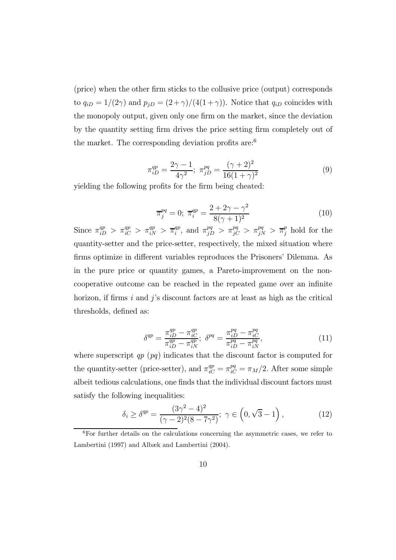(price) when the other firm sticks to the collusive price (output) corresponds to  $q_{iD} = 1/(2\gamma)$  and  $p_{jD} = (2+\gamma)/(4(1+\gamma))$ . Notice that  $q_{iD}$  coincides with the monopoly output, given only one firm on the market, since the deviation by the quantity setting firm drives the price setting firm completely out of the market. The corresponding deviation profits are:<sup>6</sup>

$$
\pi_{iD}^{qp} = \frac{2\gamma - 1}{4\gamma^2}; \ \pi_{jD}^{pq} = \frac{(\gamma + 2)^2}{16(1 + \gamma)^2}
$$
(9)

yielding the following profits for the firm being cheated:

$$
\overline{\pi}_j^{pq} = 0; \ \overline{\pi}_i^{qp} = \frac{2 + 2\gamma - \gamma^2}{8(\gamma + 1)^2} \tag{10}
$$

Since  $\pi_{iD}^{qp} > \pi_{iC}^{qp} > \pi_{iN}^{qp} > \overline{\pi}_{i}^{qp}$ , and  $\pi_{jD}^{pq} > \pi_{jC}^{pq} > \pi_{jN}^{pq} > \overline{\pi}_{j}^{p}$  hold for the quantity-setter and the price-setter, respectively, the mixed situation where firms optimize in different variables reproduces the Prisoners' Dilemma. As in the pure price or quantity games, a Pareto-improvement on the noncooperative outcome can be reached in the repeated game over an infinite horizon, if firms  $i$  and  $j$ 's discount factors are at least as high as the critical thresholds, defined as:

$$
\delta^{qp} = \frac{\pi_{iD}^{qp} - \pi_{iC}^{qp}}{\pi_{iD}^{qp} - \pi_{iN}^{qp}}; \ \delta^{pq} = \frac{\pi_{iD}^{pq} - \pi_{iC}^{pq}}{\pi_{iD}^{pq} - \pi_{iN}^{pq}},\tag{11}
$$

where superscript  $qp$  ( $pq$ ) indicates that the discount factor is computed for the quantity-setter (price-setter), and  $\pi_{iC}^{qp} = \pi_{iC}^{pq} = \pi_M/2$ . After some simple albeit tedious calculations, one finds that the individual discount factors must satisfy the following inequalities:

$$
\delta_i \ge \delta^{qp} = \frac{(3\gamma^2 - 4)^2}{(\gamma - 2)^2 (8 - 7\gamma^2)}; \ \gamma \in \left(0, \sqrt{3} - 1\right),\tag{12}
$$

<sup>6</sup>For further details on the calculations concerning the asymmetric cases, we refer to Lambertini (1997) and Albæk and Lambertini (2004).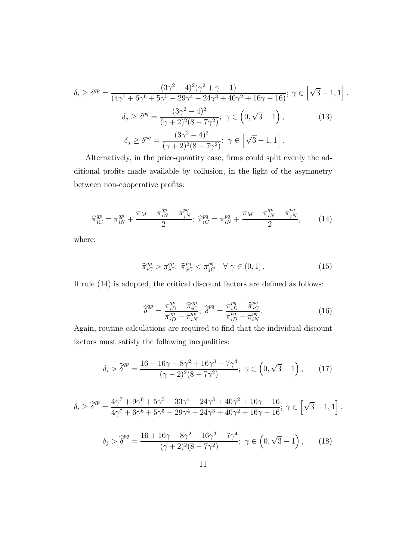$$
\delta_i \ge \delta^{qp} = \frac{(3\gamma^2 - 4)^2(\gamma^2 + \gamma - 1)}{(4\gamma^7 + 6\gamma^6 + 5\gamma^5 - 29\gamma^4 - 24\gamma^3 + 40\gamma^2 + 16\gamma - 16)}; \ \gamma \in \left[\sqrt{3} - 1, 1\right]
$$

$$
\delta_j \ge \delta^{pq} = \frac{(3\gamma^2 - 4)^2}{(\gamma + 2)^2(8 - 7\gamma^2)}; \ \gamma \in \left(0, \sqrt{3} - 1\right), \tag{13}
$$

$$
\delta_j \ge \delta^{pq} = \frac{(3\gamma^2 - 4)^2}{(\gamma + 2)^2(8 - 7\gamma^2)}; \ \gamma \in \left[\sqrt{3} - 1, 1\right].
$$

.

Alternatively, in the price-quantity case, firms could split evenly the additional profits made available by collusion, in the light of the asymmetry between non-cooperative profits:

$$
\widehat{\pi}_{iC}^{qp} = \pi_{iN}^{qp} + \frac{\pi_M - \pi_{iN}^{qp} - \pi_{jN}^{pq}}{2}; \ \widehat{\pi}_{iC}^{pq} = \pi_{iN}^{pq} + \frac{\pi_M - \pi_{iN}^{qp} - \pi_{jN}^{pq}}{2},\qquad(14)
$$

where:

$$
\widehat{\pi}_{iC}^{qp} > \pi_{iC}^{qp}; \ \widehat{\pi}_{jC}^{pq} < \pi_{jC}^{pq} \quad \forall \ \gamma \in (0,1]. \tag{15}
$$

If rule (14) is adopted, the critical discount factors are defined as follows:

$$
\widehat{\delta}^{qp} = \frac{\pi_{iD}^{qp} - \widehat{\pi}_{iC}^{qp}}{\pi_{iD}^{qp} - \pi_{iN}^{qp}}; \ \widehat{\delta}^{pq} = \frac{\pi_{iD}^{pq} - \widehat{\pi}_{iC}^{pq}}{\pi_{iD}^{pq} - \pi_{iN}^{pq}}.
$$
\n(16)

Again, routine calculations are required to find that the individual discount factors must satisfy the following inequalities:

$$
\delta_i > \hat{\delta}^{qp} = \frac{16 - 16\gamma - 8\gamma^2 + 16\gamma^3 - 7\gamma^4}{(\gamma - 2)^2 (8 - 7\gamma^2)}; \ \gamma \in \left(0, \sqrt{3} - 1\right), \tag{17}
$$

$$
\delta_i \geq \widehat{\delta}^{qp} = \frac{4\gamma^7 + 9\gamma^6 + 5\gamma^5 - 33\gamma^4 - 24\gamma^3 + 40\gamma^2 + 16\gamma - 16}{4\gamma^7 + 6\gamma^6 + 5\gamma^5 - 29\gamma^4 - 24\gamma^3 + 40\gamma^2 + 16\gamma - 16}; \ \gamma \in \left[\sqrt{3} - 1, 1\right].
$$

$$
\delta_j > \hat{\delta}^{pq} = \frac{16 + 16\gamma - 8\gamma^2 - 16\gamma^3 - 7\gamma^4}{(\gamma + 2)^2 (8 - 7\gamma^2)}; \ \gamma \in \left(0, \sqrt{3} - 1\right), \tag{18}
$$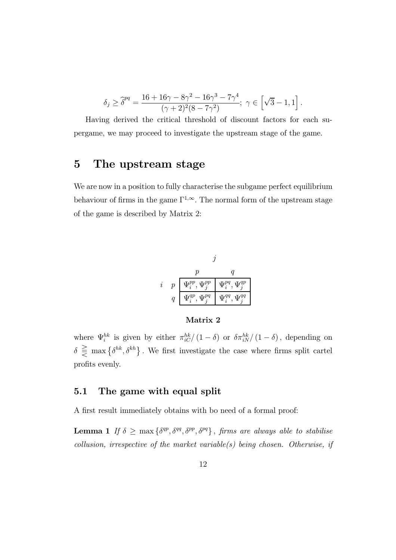$$
\delta_j \ge \hat{\delta}^{pq} = \frac{16 + 16\gamma - 8\gamma^2 - 16\gamma^3 - 7\gamma^4}{(\gamma + 2)^2 (8 - 7\gamma^2)}; \ \gamma \in \left[\sqrt{3} - 1, 1\right]
$$

.

Having derived the critical threshold of discount factors for each supergame, we may proceed to investigate the upstream stage of the game.

## 5 The upstream stage

We are now in a position to fully characterise the subgame perfect equilibrium behaviour of firms in the game  $\Gamma^{1,\infty}$ . The normal form of the upstream stage of the game is described by Matrix 2:

$$
\begin{array}{cc}\nj\\ i& p& \displaystyle \frac{p}{\left|\Psi_i^{pp},\Psi_j^{pp}\right|}\frac{q}{\Psi_i^{pq},\Psi_j^{qp}}\\ q& \displaystyle \frac{\Psi_i^{qp},\Psi_j^{pq}}{\left|\Psi_i^{qq},\Psi_j^{qq}\right|}\frac{q}{\Psi_i^{qq},\Psi_j^{qq}}\end{array}
$$

## Matrix 2

where  $\Psi_i^{hk}$  is given by either  $\pi_{iC}^{hk}/(1-\delta)$  or  $\delta \pi_{iN}^{hk}/(1-\delta)$ , depending on  $\delta \geq \max\{\delta^{hk},\delta^{kh}\}\.$  We first investigate the case where firms split cartel profits evenly.

## 5.1 The game with equal split

A first result immediately obtains with bo need of a formal proof:

**Lemma 1** If  $\delta \ge \max\{\delta^{qp}, \delta^{qq}, \delta^{pp}, \delta^{pq}\}\$ , firms are always able to stabilise  $collusion, irrespective of the market variable(s) being chosen. Otherwise, if$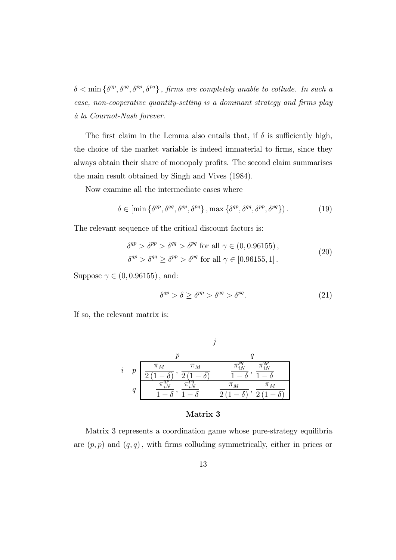$\delta < \min \{ \delta^{qp}, \delta^{qq}, \delta^{pp}, \delta^{pq} \},$  firms are completely unable to collude. In such a case, non-cooperative quantity-setting is a dominant strategy and firms play `a la Cournot-Nash forever.

The first claim in the Lemma also entails that, if  $\delta$  is sufficiently high, the choice of the market variable is indeed immaterial to firms, since they always obtain their share of monopoly profits. The second claim summarises the main result obtained by Singh and Vives (1984).

Now examine all the intermediate cases where

$$
\delta \in \left[ \min \left\{ \delta^{qp}, \delta^{qq}, \delta^{pp}, \delta^{pq} \right\}, \max \left\{ \delta^{qp}, \delta^{qq}, \delta^{pp}, \delta^{pq} \right\} \right). \tag{19}
$$

The relevant sequence of the critical discount factors is:

$$
\delta^{qp} > \delta^{pp} > \delta^{qq} > \delta^{pq} \text{ for all } \gamma \in (0, 0.96155),
$$
  

$$
\delta^{qp} > \delta^{qq} \geq \delta^{pp} > \delta^{pq} \text{ for all } \gamma \in [0.96155, 1].
$$
 (20)

Suppose  $\gamma \in (0, 0.96155)$ , and:

$$
\delta^{qp} > \delta \ge \delta^{pp} > \delta^{qq} > \delta^{pq}.\tag{21}
$$

If so, the relevant matrix is:

| $\dot{\imath}$ | $\boldsymbol{p}$ | $\pi_M$<br>$\pi_M$ |                    |
|----------------|------------------|--------------------|--------------------|
|                |                  |                    | $\pi_M$<br>$\pi_M$ |

#### Matrix 3

Matrix 3 represents a coordination game whose pure-strategy equilibria are  $(p, p)$  and  $(q, q)$ , with firms colluding symmetrically, either in prices or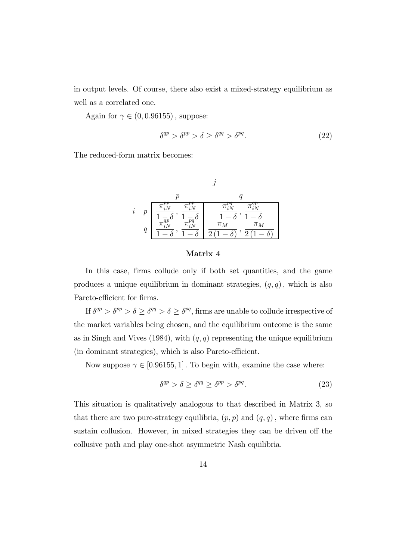in output levels. Of course, there also exist a mixed-strategy equilibrium as well as a correlated one.

Again for  $\gamma \in (0, 0.96155)$ , suppose:

$$
\delta^{qp} > \delta^{pp} > \delta \ge \delta^{qq} > \delta^{pq}.
$$
 (22)

The reduced-form matrix becomes:

|         |   | $\boldsymbol{p}$ |                           |
|---------|---|------------------|---------------------------|
| $\it i$ | р |                  | ıг                        |
|         | q |                  | π<br>$\pi_M$<br>$\lambda$ |

$$
\quad \ \ {\rm Matrix}\ 4
$$

In this case, firms collude only if both set quantities, and the game produces a unique equilibrium in dominant strategies,  $(q, q)$ , which is also Pareto-efficient for firms.

If  $\delta^{qp} > \delta^{pp} > \delta \geq \delta^{qq} > \delta \geq \delta^{pq}$ , firms are unable to collude irrespective of the market variables being chosen, and the equilibrium outcome is the same as in Singh and Vives (1984), with  $(q, q)$  representing the unique equilibrium (in dominant strategies), which is also Pareto-efficient.

Now suppose  $\gamma \in [0.96155, 1]$ . To begin with, examine the case where:

$$
\delta^{qp} > \delta \ge \delta^{qq} \ge \delta^{pp} > \delta^{pq}.
$$
 (23)

This situation is qualitatively analogous to that described in Matrix 3, so that there are two pure-strategy equilibria,  $(p, p)$  and  $(q, q)$ , where firms can sustain collusion. However, in mixed strategies they can be driven off the collusive path and play one-shot asymmetric Nash equilibria.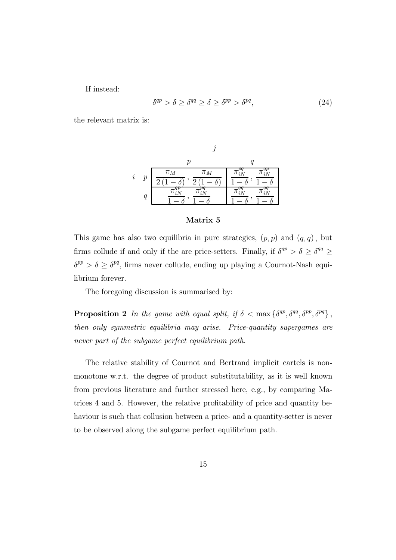If instead:

$$
\delta^{qp} > \delta \ge \delta^{qq} \ge \delta \ge \delta^{pp} > \delta^{pq},\tag{24}
$$

the relevant matrix is:

$$
\begin{array}{cc}\n & j \\
i & p \\
\hline\n\frac{\pi_M}{2(1-\delta)}, \frac{\pi_M}{2(1-\delta)}\n\end{array}\n\begin{array}{c}\n & q \\
\hline\n\frac{\pi_M^{pq}}{1-\delta}, \frac{\pi_{iN}^{qq}}{1-\delta}, \frac{\pi_{iN}^{qp}}{1-\delta} \\
\hline\n\frac{\pi_{iN}^{qp}}{1-\delta}, \frac{\pi_{iN}^{qq}}{1-\delta}\n\end{array}
$$

#### Matrix 5

This game has also two equilibria in pure strategies,  $(p, p)$  and  $(q, q)$ , but firms collude if and only if the are price-setters. Finally, if  $\delta^{qp} > \delta \geq \delta^{qq} \geq$  $\delta^{pp} > \delta \geq \delta^{pq},$  firms never collude, ending up playing a Cournot-Nash equilibrium forever.

The foregoing discussion is summarised by:

**Proposition 2** In the game with equal split, if  $\delta < \max\{\delta^{qp}, \delta^{qq}, \delta^{pp}, \delta^{pq}\},$ then only symmetric equilibria may arise. Price-quantity supergames are never part of the subgame perfect equilibrium path.

The relative stability of Cournot and Bertrand implicit cartels is nonmonotone w.r.t. the degree of product substitutability, as it is well known from previous literature and further stressed here, e.g., by comparing Matrices 4 and 5. However, the relative profitability of price and quantity behaviour is such that collusion between a price- and a quantity-setter is never to be observed along the subgame perfect equilibrium path.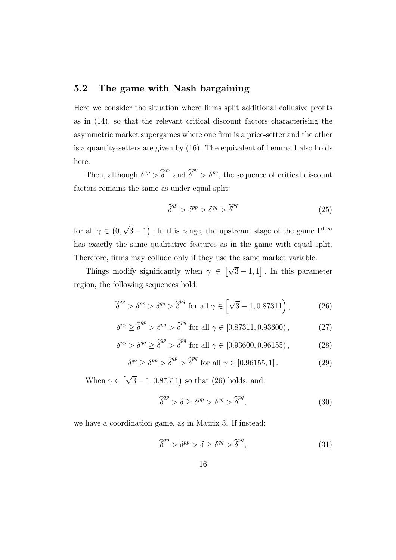## 5.2 The game with Nash bargaining

Here we consider the situation where firms split additional collusive profits as in (14), so that the relevant critical discount factors characterising the asymmetric market supergames where one firm is a price-setter and the other is a quantity-setters are given by (16). The equivalent of Lemma 1 also holds here.

Then, although  $\delta^{qp} > \hat{\delta}^{qp}$  and  $\hat{\delta}^{pq} > \delta^{pq}$ , the sequence of critical discount factors remains the same as under equal split:

$$
\widehat{\delta}^{qp} > \delta^{pp} > \delta^{qq} > \widehat{\delta}^{pq} \tag{25}
$$

for all  $\gamma \in (0, \sqrt{3} - 1)$ . In this range, the upstream stage of the game  $\Gamma^{1,\infty}$ has exactly the same qualitative features as in the game with equal split. Therefore, firms may collude only if they use the same market variable.

Things modify significantly when  $\gamma \in \left[\sqrt{3} - 1, 1\right]$ . In this parameter region, the following sequences hold:

$$
\widehat{\delta}^{qp} > \delta^{pp} > \delta^{qq} > \widehat{\delta}^{pq} \text{ for all } \gamma \in \left[\sqrt{3} - 1, 0.87311\right),\tag{26}
$$

$$
\delta^{pp} \ge \hat{\delta}^{qp} > \delta^{qq} > \hat{\delta}^{pq} \text{ for all } \gamma \in [0.87311, 0.93600), \tag{27}
$$

$$
\delta^{pp} > \delta^{qq} \ge \hat{\delta}^{qp} > \hat{\delta}^{pq} \text{ for all } \gamma \in [0.93600, 0.96155), \tag{28}
$$

$$
\delta^{qq} \ge \delta^{pp} > \hat{\delta}^{qp} > \hat{\delta}^{pq} \text{ for all } \gamma \in [0.96155, 1]. \tag{29}
$$

When  $\gamma \in \left[\sqrt{3} - 1, 0.87311\right)$  so that (26) holds, and:

$$
\widehat{\delta}^{qp} > \delta \ge \delta^{pp} > \delta^{qq} > \widehat{\delta}^{pq},\tag{30}
$$

we have a coordination game, as in Matrix 3. If instead:

$$
\widehat{\delta}^{qp} > \delta^{pp} > \delta \ge \delta^{qq} > \widehat{\delta}^{pq},\tag{31}
$$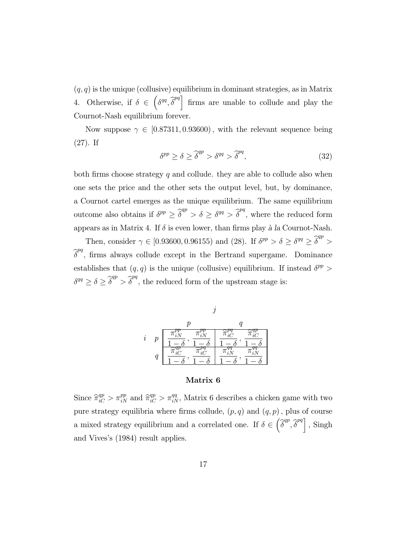$(q, q)$  is the unique (collusive) equilibrium in dominant strategies, as in Matrix 4. Otherwise, if  $\delta \in \left(\delta^{qq},\hat{\delta}^{pq}\right]$  firms are unable to collude and play the Cournot-Nash equilibrium forever.

Now suppose  $\gamma \in [0.87311, 0.93600)$ , with the relevant sequence being (27). If

$$
\delta^{pp} \ge \delta \ge \hat{\delta}^{qp} > \delta^{qq} > \hat{\delta}^{pq},\tag{32}
$$

both firms choose strategy  $q$  and collude. they are able to collude also when one sets the price and the other sets the output level, but, by dominance, a Cournot cartel emerges as the unique equilibrium. The same equilibrium outcome also obtains if  $\delta^{pp} \geq \hat{\delta}^{qp} > \delta \geq \delta^{qq} > \hat{\delta}^{pq}$ , where the reduced form appears as in Matrix 4. If  $\delta$  is even lower, than firms play à la Cournot-Nash.

Then, consider  $\gamma \in [0.93600, 0.96155)$  and (28). If  $\delta^{pp} > \delta \ge \delta^{qq} \ge \hat{\delta}^{qp} >$  $\widehat{\delta}^{pq}$ , firms always collude except in the Bertrand supergame. Dominance establishes that  $(q, q)$  is the unique (collusive) equilibrium. If instead  $\delta^{pp}$  >  $\delta^{qq} \geq \delta \geq \widehat{\delta}^{qp} > \widehat{\delta}^{pq}$ , the reduced form of the upstream stage is:



### Matrix 6

Since  $\hat{\pi}_{iC}^{qp} > \pi_{iN}^{pp}$  and  $\hat{\pi}_{iC}^{qp} > \pi_{iN}^{qq}$ , Matrix 6 describes a chicken game with two pure strategy equilibria where firms collude,  $(p, q)$  and  $(q, p)$ , plus of course a mixed strategy equilibrium and a correlated one. If  $\delta \in \left(\widehat{\delta}^{qp}, \widehat{\delta}^{pq}\right]$ , Singh and Vives's (1984) result applies.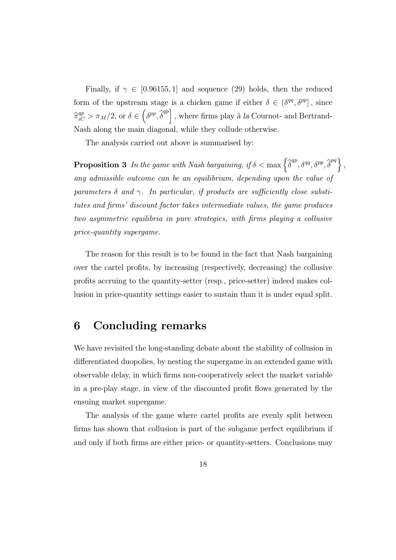Finally, if  $\gamma \in [0.96155, 1]$  and sequence (29) holds, then the reduced form of the upstream stage is a chicken game if either  $\delta \in (\delta^{qq}, \delta^{pp}]$ , since  $\widehat{\pi}_{iC}^{qp} > \pi_M/2$ , or  $\delta \in \left(\delta^{pp}, \widehat{\delta}^{qp}\right]$ , where firms play à la Cournot- and Bertrand-Nash along the main diagonal, while they collude otherwise.

The analysis carried out above is summarised by:

**Proposition 3** In the game with Nash bargaining, if  $\delta < \max \left\{ \widehat{\delta}^{qp}, \delta^{qq}, \delta^{pp}, \widehat{\delta}^{pq} \right\},$ any admissible outcome can be an equilibrium, depending upon the value of parameters  $\delta$  and  $\gamma$ . In particular, if products are sufficiently close substitutes and firms' discount factor takes intermediate values, the game produces two asymmetric equilibria in pure strategies, with firms playing a collusive price-quantity supergame.

The reason for this result is to be found in the fact that Nash bargaining over the cartel profits, by increasing (respectively, decreasing) the collusive profits accruing to the quantity-setter (resp., price-setter) indeed makes collusion in price-quantity settings easier to sustain than it is under equal split.

## 6 Concluding remarks

We have revisited the long-standing debate about the stability of collusion in differentiated duopolies, by nesting the supergame in an extended game with observable delay, in which firms non-cooperatively select the market variable in a pre-play stage, in view of the discounted profit flows generated by the ensuing market supergame.

The analysis of the game where cartel profits are evenly split between firms has shown that collusion is part of the subgame perfect equilibrium if and only if both firms are either price- or quantity-setters. Conclusions may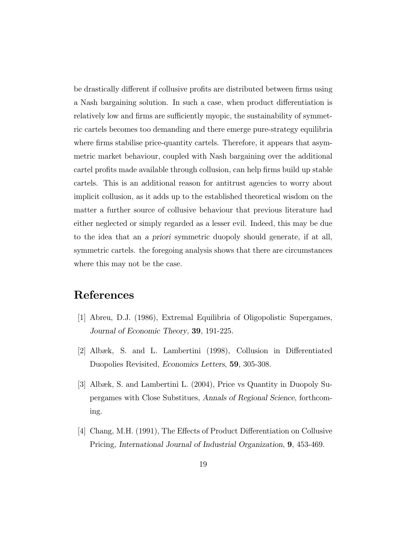be drastically different if collusive profits are distributed between firms using a Nash bargaining solution. In such a case, when product differentiation is relatively low and firms are sufficiently myopic, the sustainability of symmetric cartels becomes too demanding and there emerge pure-strategy equilibria where firms stabilise price-quantity cartels. Therefore, it appears that asymmetric market behaviour, coupled with Nash bargaining over the additional cartel profits made available through collusion, can help firms build up stable cartels. This is an additional reason for antitrust agencies to worry about implicit collusion, as it adds up to the established theoretical wisdom on the matter a further source of collusive behaviour that previous literature had either neglected or simply regarded as a lesser evil. Indeed, this may be due to the idea that an a priori symmetric duopoly should generate, if at all, symmetric cartels. the foregoing analysis shows that there are circumstances where this may not be the case.

# References

- [1] Abreu, D.J. (1986), Extremal Equilibria of Oligopolistic Supergames, Journal of Economic Theory, 39, 191-225.
- [2] Albæk, S. and L. Lambertini (1998), Collusion in Differentiated Duopolies Revisited, Economics Letters, 59, 305-308.
- [3] Albæk, S. and Lambertini L. (2004), Price vs Quantity in Duopoly Supergames with Close Substitues, Annals of Regional Science, forthcoming.
- [4] Chang, M.H. (1991), The Effects of Product Differentiation on Collusive Pricing, International Journal of Industrial Organization, 9, 453-469.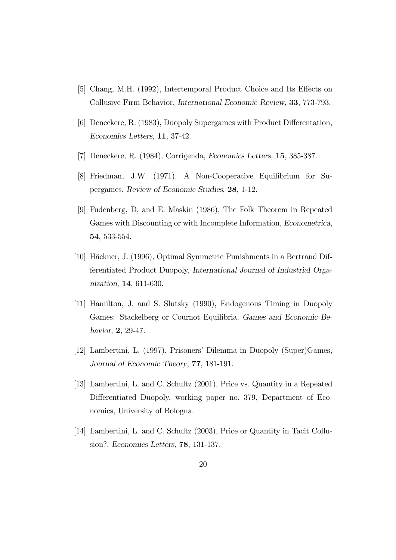- [5] Chang, M.H. (1992), Intertemporal Product Choice and Its Effects on Collusive Firm Behavior, International Economic Review, 33, 773-793.
- [6] Deneckere, R. (1983), Duopoly Supergames with Product Differentation, Economics Letters, 11, 37-42.
- [7] Deneckere, R. (1984), Corrigenda, Economics Letters, 15, 385-387.
- [8] Friedman, J.W. (1971), A Non-Cooperative Equilibrium for Supergames, Review of Economic Studies, 28, 1-12.
- [9] Fudenberg, D, and E. Maskin (1986), The Folk Theorem in Repeated Games with Discounting or with Incomplete Information, Econometrica, 54, 533-554.
- [10] Häckner, J. (1996), Optimal Symmetric Punishments in a Bertrand Differentiated Product Duopoly, International Journal of Industrial Organization, 14, 611-630.
- [11] Hamilton, J. and S. Slutsky (1990), Endogenous Timing in Duopoly Games: Stackelberg or Cournot Equilibria, Games and Economic Behavior, **2**, 29-47.
- [12] Lambertini, L. (1997), Prisoners' Dilemma in Duopoly (Super)Games, Journal of Economic Theory, 77, 181-191.
- [13] Lambertini, L. and C. Schultz (2001), Price vs. Quantity in a Repeated Differentiated Duopoly, working paper no. 379, Department of Economics, University of Bologna.
- [14] Lambertini, L. and C. Schultz (2003), Price or Quantity in Tacit Collusion?, Economics Letters, 78, 131-137.